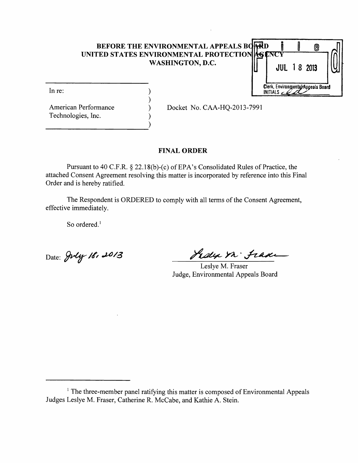# **BEFORE THE ENVIRONMENTAL APPEALS BOARD UNITED STATES ENVIRONMENTAL PROTECTION WASHINGTON, D.C.**

)



Technologies, Inc. )

**----------------------)** 

American Performance (a) Docket No. CAA-HQ-2013-7991

## FINAL ORDER

Pursuant to 40 C.F.R. § 22.18(b)-(c) of EPA's Consolidated Rules of Practice, the attached Consent Agreement resolving this matter is incorporated by reference into this Final Order and is hereby ratified.

The Respondent is ORDERED to comply with all terms of the Consent Agreement, effective immediately.

So ordered.<sup>1</sup>

Date: Jul*y 18, 2013* 

Jedy in Frade

Leslye M. Fraser Judge, Environmental Appeals Board

 $1$ . The three-member panel ratifying this matter is composed of Environmental Appeals Judges Leslye M. Fraser, Catherine R. McCabe, and Kathie A. Stein.